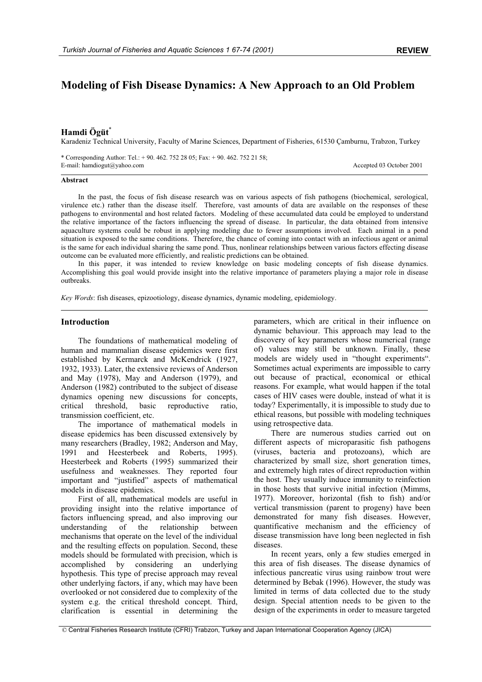# **Modeling of Fish Disease Dynamics: A New Approach to an Old Problem**

# **Hamdi Ögüt**\*

Karadeniz Technical University, Faculty of Marine Sciences, Department of Fisheries, 61530 Çamburnu, Trabzon, Turkey

\* Corresponding Author: Tel.: + 90. 462. 752 28 05; Fax: + 90. 462. 752 21 58; E-mail: hamdiogut@yahoo.com Accepted 03 October 2001

### **Abstract**

In the past, the focus of fish disease research was on various aspects of fish pathogens (biochemical, serological, virulence etc.) rather than the disease itself. Therefore, vast amounts of data are available on the responses of these pathogens to environmental and host related factors. Modeling of these accumulated data could be employed to understand the relative importance of the factors influencing the spread of disease. In particular, the data obtained from intensive aquaculture systems could be robust in applying modeling due to fewer assumptions involved. Each animal in a pond situation is exposed to the same conditions. Therefore, the chance of coming into contact with an infectious agent or animal is the same for each individual sharing the same pond. Thus, nonlinear relationships between various factors effecting disease outcome can be evaluated more efficiently, and realistic predictions can be obtained.

In this paper, it was intended to review knowledge on basic modeling concepts of fish disease dynamics. Accomplishing this goal would provide insight into the relative importance of parameters playing a major role in disease outbreaks.

*Key Words*: fish diseases, epizootiology, disease dynamics, dynamic modeling, epidemiology.

## **Introduction**

The foundations of mathematical modeling of human and mammalian disease epidemics were first established by Kermarck and McKendrick (1927, 1932, 1933). Later, the extensive reviews of Anderson and May (1978), May and Anderson (1979), and Anderson (1982) contributed to the subject of disease dynamics opening new discussions for concepts, critical threshold, basic reproductive ratio, transmission coefficient, etc.

The importance of mathematical models in disease epidemics has been discussed extensively by many researchers (Bradley, 1982; Anderson and May, 1991 and Heesterbeek and Roberts, 1995). Heesterbeek and Roberts (1995) summarized their usefulness and weaknesses. They reported four important and "justified" aspects of mathematical models in disease epidemics.

First of all, mathematical models are useful in providing insight into the relative importance of factors influencing spread, and also improving our understanding of the relationship between mechanisms that operate on the level of the individual and the resulting effects on population. Second, these models should be formulated with precision, which is accomplished by considering an underlying hypothesis. This type of precise approach may reveal other underlying factors, if any, which may have been overlooked or not considered due to complexity of the system e.g. the critical threshold concept. Third, clarification is essential in determining the

parameters, which are critical in their influence on dynamic behaviour. This approach may lead to the discovery of key parameters whose numerical (range of) values may still be unknown. Finally, these models are widely used in "thought experiments". Sometimes actual experiments are impossible to carry out because of practical, economical or ethical reasons. For example, what would happen if the total cases of HIV cases were double, instead of what it is today? Experimentally, it is impossible to study due to ethical reasons, but possible with modeling techniques using retrospective data.

There are numerous studies carried out on different aspects of microparasitic fish pathogens (viruses, bacteria and protozoans), which are characterized by small size, short generation times, and extremely high rates of direct reproduction within the host. They usually induce immunity to reinfection in those hosts that survive initial infection (Mimms, 1977). Moreover, horizontal (fish to fish) and/or vertical transmission (parent to progeny) have been demonstrated for many fish diseases. However, quantificative mechanism and the efficiency of disease transmission have long been neglected in fish diseases.

In recent years, only a few studies emerged in this area of fish diseases. The disease dynamics of infectious pancreatic virus using rainbow trout were determined by Bebak (1996). However, the study was limited in terms of data collected due to the study design. Special attention needs to be given to the design of the experiments in order to measure targeted

 <sup>©</sup> Central Fisheries Research Institute (CFRI) Trabzon, Turkey and Japan International Cooperation Agency (JICA)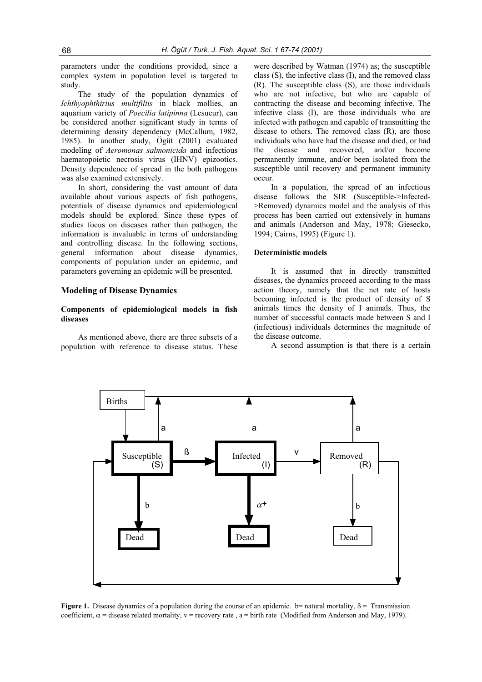parameters under the conditions provided, since a complex system in population level is targeted to study.

The study of the population dynamics of *Ichthyophthirius multifiliis* in black mollies, an aquarium variety of *Poecilia latipinna* (Lesueur), can be considered another significant study in terms of determining density dependency (McCallum, 1982, 1985). In another study, Ögüt (2001) evaluated modeling of *Aeromonas salmonicida* and infectious haematopoietic necrosis virus (IHNV) epizootics. Density dependence of spread in the both pathogens was also examined extensively.

In short, considering the vast amount of data available about various aspects of fish pathogens, potentials of disease dynamics and epidemiological models should be explored. Since these types of studies focus on diseases rather than pathogen, the information is invaluable in terms of understanding and controlling disease. In the following sections, general information about disease dynamics, components of population under an epidemic, and parameters governing an epidemic will be presented.

# **Modeling of Disease Dynamics**

# **Components of epidemiological models in fish diseases**

As mentioned above, there are three subsets of a population with reference to disease status. These

were described by Watman (1974) as; the susceptible class (S), the infective class (I), and the removed class (R). The susceptible class (S), are those individuals who are not infective, but who are capable of contracting the disease and becoming infective. The infective class (I), are those individuals who are infected with pathogen and capable of transmitting the disease to others. The removed class (R), are those individuals who have had the disease and died, or had the disease and recovered, and/or become permanently immune, and/or been isolated from the susceptible until recovery and permanent immunity occur.

In a population, the spread of an infectious disease follows the SIR (Susceptible->Infected- >Removed) dynamics model and the analysis of this process has been carried out extensively in humans and animals (Anderson and May, 1978; Giesecko, 1994; Cairns, 1995) (Figure 1).

# **Deterministic models**

It is assumed that in directly transmitted diseases, the dynamics proceed according to the mass action theory, namely that the net rate of hosts becoming infected is the product of density of S animals times the density of I animals. Thus, the number of successful contacts made between S and I (infectious) individuals determines the magnitude of the disease outcome.

A second assumption is that there is a certain



**Figure 1.** Disease dynamics of a population during the course of an epidemic.  $b$ = natural mortality,  $\beta$  = Transmission coefficient,  $\alpha$  = disease related mortality,  $v$  = recovery rate, a = birth rate (Modified from Anderson and May, 1979).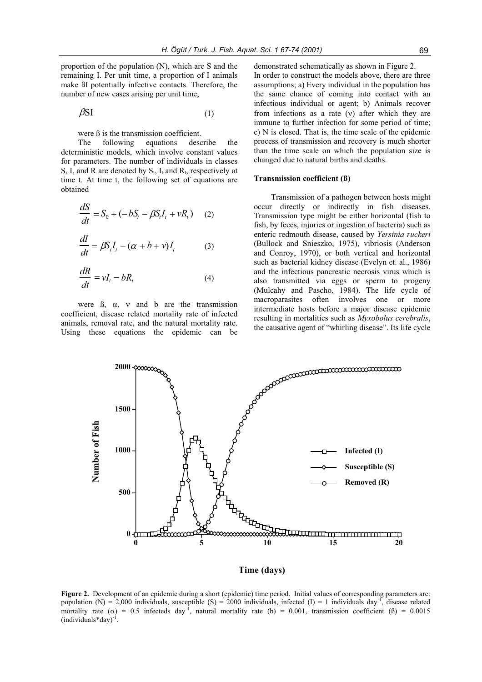proportion of the population (N), which are S and the remaining I. Per unit time, a proportion of I animals make ßI potentially infective contacts. Therefore, the number of new cases arising per unit time;

$$
\beta SI \tag{1}
$$

were ß is the transmission coefficient.

The following equations describe the deterministic models, which involve constant values for parameters. The number of individuals in classes S, I, and R are denoted by  $S_t$ ,  $I_t$  and  $R_t$ , respectively at time t. At time t, the following set of equations are obtained

$$
\frac{dS}{dt} = S_0 + (-bS_t - \beta S_t I_t + vR_t) \quad (2)
$$

$$
\frac{dI}{dt} = \beta S_t I_t - (\alpha + b + v) I_t \tag{3}
$$

$$
\frac{dR}{dt} = vI_t - bR_t \tag{4}
$$

were  $\beta$ ,  $\alpha$ ,  $\gamma$  and b are the transmission coefficient, disease related mortality rate of infected animals, removal rate, and the natural mortality rate. Using these equations the epidemic can be

demonstrated schematically as shown in Figure 2.

In order to construct the models above, there are three assumptions; a) Every individual in the population has the same chance of coming into contact with an infectious individual or agent; b) Animals recover from infections as a rate  $(v)$  after which they are immune to further infection for some period of time; c) N is closed. That is, the time scale of the epidemic process of transmission and recovery is much shorter than the time scale on which the population size is changed due to natural births and deaths.

#### **Transmission coefficient (ß)**

Transmission of a pathogen between hosts might occur directly or indirectly in fish diseases. Transmission type might be either horizontal (fish to fish, by feces, injuries or ingestion of bacteria) such as enteric redmouth disease, caused by *Yersinia ruckeri* (Bullock and Snieszko, 1975), vibriosis (Anderson and Conroy, 1970), or both vertical and horizontal such as bacterial kidney disease (Evelyn et. al., 1986) and the infectious pancreatic necrosis virus which is also transmitted via eggs or sperm to progeny (Mulcahy and Pascho, 1984). The life cycle of macroparasites often involves one or more intermediate hosts before a major disease epidemic resulting in mortalities such as *Myxobolus cerebralis*, the causative agent of "whirling disease". Its life cycle



**Time (days)**

**Figure 2.** Development of an epidemic during a short (epidemic) time period. Initial values of corresponding parameters are: population (N) = 2,000 individuals, susceptible (S) = 2000 individuals, infected (I) = 1 individuals day<sup>-1</sup>, disease related mortality rate ( $\alpha$ ) = 0.5 infecteds day<sup>-1</sup>, natural mortality rate (b) = 0.001, transmission coefficient ( $\beta$ ) = 0.0015  $(individuals*day)^{-1}$ .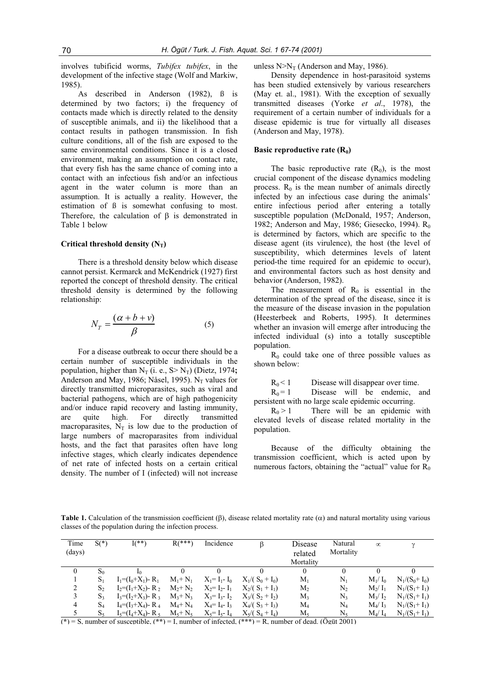involves tubificid worms, *Tubifex tubifex*, in the development of the infective stage (Wolf and Markiw, 1985).

As described in Anderson (1982), ß is determined by two factors; i) the frequency of contacts made which is directly related to the density of susceptible animals, and ii) the likelihood that a contact results in pathogen transmission. In fish culture conditions, all of the fish are exposed to the same environmental conditions. Since it is a closed environment, making an assumption on contact rate, that every fish has the same chance of coming into a contact with an infectious fish and/or an infectious agent in the water column is more than an assumption. It is actually a reality. However, the estimation of ß is somewhat confusing to most. Therefore, the calculation of  $\beta$  is demonstrated in Table 1 below

## **Critical threshold density**  $(N_T)$

There is a threshold density below which disease cannot persist. Kermarck and McKendrick (1927) first reported the concept of threshold density. The critical threshold density is determined by the following relationship:

$$
N_T = \frac{(\alpha + b + v)}{\beta} \tag{5}
$$

For a disease outbreak to occur there should be a certain number of susceptible individuals in the population, higher than  $N_T$  (i. e.,  $S > N_T$ ) (Dietz, 1974**;** Anderson and May, 1986; Nåsel, 1995). N<sub>T</sub> values for directly transmitted microparasites, such as viral and bacterial pathogens, which are of high pathogenicity and/or induce rapid recovery and lasting immunity, are quite high. For directly transmitted macroparasites,  $N_T$  is low due to the production of large numbers of macroparasites from individual hosts, and the fact that parasites often have long infective stages, which clearly indicates dependence of net rate of infected hosts on a certain critical density. The number of I (infected) will not increase unless  $N>N_T$  (Anderson and May, 1986).

Density dependence in host-parasitoid systems has been studied extensively by various researchers (May et. al., 1981). With the exception of sexually transmitted diseases (Yorke *et al*., 1978), the requirement of a certain number of individuals for a disease epidemic is true for virtually all diseases (Anderson and May, 1978).

### **Basic reproductive rate (R<sub>0</sub>)**

The basic reproductive rate  $(R_0)$ , is the most crucial component of the disease dynamics modeling process.  $R_0$  is the mean number of animals directly infected by an infectious case during the animals' entire infectious period after entering a totally susceptible population (McDonald, 1957; Anderson, 1982; Anderson and May, 1986; Giesecko, 1994). R<sub>0</sub> is determined by factors, which are specific to the disease agent (its virulence), the host (the level of susceptibility, which determines levels of latent period-the time required for an epidemic to occur), and environmental factors such as host density and behavior (Anderson, 1982).

The measurement of  $R_0$  is essential in the determination of the spread of the disease, since it is the measure of the disease invasion in the population (Heesterbeek and Roberts, 1995). It determines whether an invasion will emerge after introducing the infected individual (s) into a totally susceptible population.

 $R_0$  could take one of three possible values as shown below:

 $R_0 < 1$  Disease will disappear over time.

 $R_0 = 1$  Disease will be endemic, and persistent with no large scale epidemic occurring.

 $R_0 > 1$  There will be an epidemic with elevated levels of disease related mortality in the population.

Because of the difficulty obtaining the transmission coefficient, which is acted upon by numerous factors, obtaining the "actual" value for  $R_0$ 

**Table 1.** Calculation of the transmission coefficient  $(\beta)$ , disease related mortality rate  $(\alpha)$  and natural mortality using various classes of the population during the infection process.

| Time<br>(days) | $S(*)$         | $I(***)$                         | $R$ (***)     | Incidence         | ß                  | Disease<br>related | Natural<br>Mortality | $\infty$  |                 |
|----------------|----------------|----------------------------------|---------------|-------------------|--------------------|--------------------|----------------------|-----------|-----------------|
|                |                |                                  |               |                   |                    | Mortality          |                      |           |                 |
| 0              | $S_0$          | I٥                               | 0             |                   | $\theta$           | $\theta$           |                      |           |                 |
|                | $S_1$          | $I_1 = (I_0 + X_1) - R_1$        | $M_1+ N_1$    | $X_1 = I_1 - I_0$ | $X_1/(S_0 + I_0)$  | $M_1$              | $N_{1}$              | $M_1/I_0$ | $N_1/(S_0+I_0)$ |
| 2              | S <sub>2</sub> | $I_2=(I_1+X_2)$ - R <sub>2</sub> | $M_2+ N_2$    | $X_2 = I_2 - I_1$ | $X_2/(S_1 + I_1)$  | $M_{2}$            | N,                   | $M_2/I_1$ | $N_1/(S_1+I_1)$ |
| 3              | S <sub>3</sub> | $I_3=(I_2+X_3)$ - R <sub>3</sub> | $M_3 + N_3$   | $X_3 = I_3 - I_2$ | $X_3/(S_2+I_2)$    | $M_3$              | $N_3$                | $M_3/I_2$ | $N_1/(S_1+I_1)$ |
| 4              | $\mathrm{S}_4$ | $I_4 = (I_3 + X_4) - R_4$        | $M_4$ + $N_4$ | $X_4 = I_4 - I_3$ | $X_4/ (S_3 + I_3)$ | $\rm M_4$          | $\rm N_4$            | $M_4/I_3$ | $N_1/(S_1+I_1)$ |
| 5              | $S_5$          | $I_5 = (I_4 + X_4) - R_5$        | $M_5+ N_5$    | $X_5 = I_5 - I_4$ | $X_5/(S_4 + I_4)$  | $M_5$              | $N_{5}$              | $M_4/I_4$ | $N_1/(S_1+I_1)$ |

(**\***) = S, number of susceptible, (**\*\***) = I, number of infected, (**\*\*\***) = R, number of dead. (Ögüt 2001)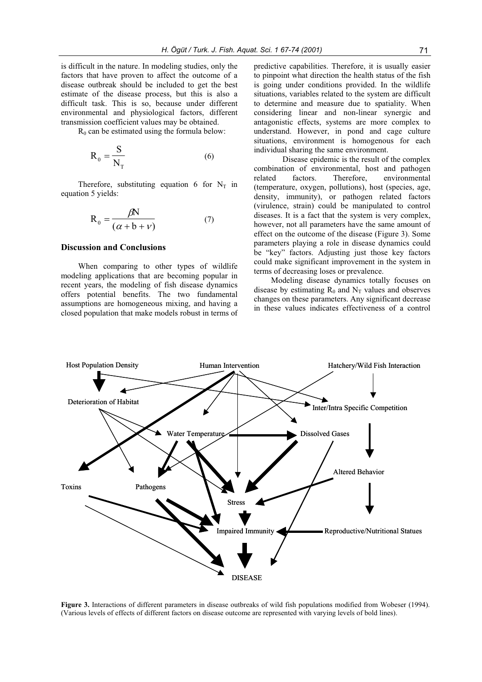is difficult in the nature. In modeling studies, only the factors that have proven to affect the outcome of a disease outbreak should be included to get the best estimate of the disease process, but this is also a difficult task. This is so, because under different environmental and physiological factors, different transmission coefficient values may be obtained.

 $R_0$  can be estimated using the formula below:

$$
R_0 = \frac{S}{N_T}
$$
 (6)

Therefore, substituting equation 6 for  $N_T$  in equation 5 yields:

$$
R_0 = \frac{\beta N}{(\alpha + b + \nu)}\tag{7}
$$

# **Discussion and Conclusions**

When comparing to other types of wildlife modeling applications that are becoming popular in recent years, the modeling of fish disease dynamics offers potential benefits. The two fundamental assumptions are homogeneous mixing, and having a closed population that make models robust in terms of predictive capabilities. Therefore, it is usually easier to pinpoint what direction the health status of the fish is going under conditions provided. In the wildlife situations, variables related to the system are difficult to determine and measure due to spatiality. When considering linear and non-linear synergic and antagonistic effects, systems are more complex to understand. However, in pond and cage culture situations, environment is homogenous for each individual sharing the same environment.

Disease epidemic is the result of the complex combination of environmental, host and pathogen related factors. Therefore, environmental (temperature, oxygen, pollutions), host (species, age, density, immunity), or pathogen related factors (virulence, strain) could be manipulated to control diseases. It is a fact that the system is very complex, however, not all parameters have the same amount of effect on the outcome of the disease (Figure 3). Some parameters playing a role in disease dynamics could be "key" factors. Adjusting just those key factors could make significant improvement in the system in terms of decreasing loses or prevalence.

Modeling disease dynamics totally focuses on disease by estimating  $R_0$  and  $N_T$  values and observes changes on these parameters. Any significant decrease in these values indicates effectiveness of a control



**Figure 3.** Interactions of different parameters in disease outbreaks of wild fish populations modified from Wobeser (1994). (Various levels of effects of different factors on disease outcome are represented with varying levels of bold lines).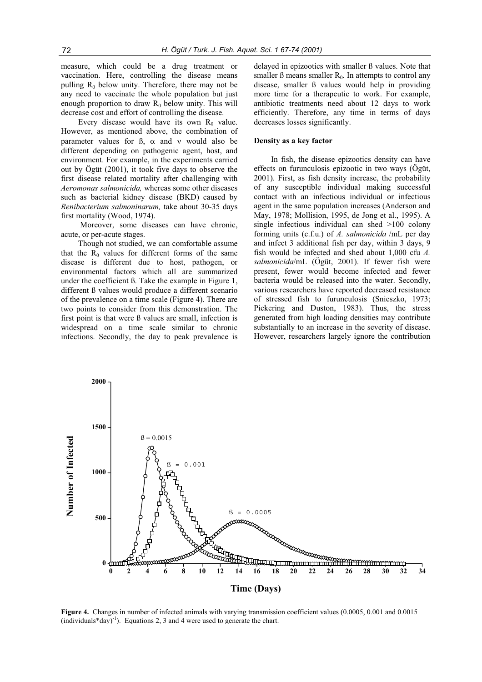measure, which could be a drug treatment or vaccination. Here, controlling the disease means pulling  $R_0$  below unity. Therefore, there may not be any need to vaccinate the whole population but just enough proportion to draw  $R_0$  below unity. This will decrease cost and effort of controlling the disease.

Every disease would have its own  $R_0$  value. However, as mentioned above, the combination of parameter values for  $\beta$ ,  $\alpha$  and  $\nu$  would also be different depending on pathogenic agent, host, and environment. For example, in the experiments carried out by Ögüt (2001), it took five days to observe the first disease related mortality after challenging with *Aeromonas salmonicida,* whereas some other diseases such as bacterial kidney disease (BKD) caused by *Renibacterium salmoninarum,* take about 30-35 days first mortality (Wood, 1974).

Moreover, some diseases can have chronic, acute, or per-acute stages.

Though not studied, we can comfortable assume that the  $R_0$  values for different forms of the same disease is different due to host, pathogen, or environmental factors which all are summarized under the coefficient ß. Take the example in Figure 1, different ß values would produce a different scenario of the prevalence on a time scale (Figure 4). There are two points to consider from this demonstration. The first point is that were ß values are small, infection is widespread on a time scale similar to chronic infections. Secondly, the day to peak prevalence is delayed in epizootics with smaller ß values. Note that smaller  $\beta$  means smaller  $R_0$ . In attempts to control any disease, smaller ß values would help in providing more time for a therapeutic to work. For example, antibiotic treatments need about 12 days to work efficiently. Therefore, any time in terms of days decreases losses significantly.

## **Density as a key factor**

In fish, the disease epizootics density can have effects on furunculosis epizootic in two ways (Ögüt, 2001). First, as fish density increase, the probability of any susceptible individual making successful contact with an infectious individual or infectious agent in the same population increases (Anderson and May, 1978; Mollision, 1995, de Jong et al., 1995). A single infectious individual can shed >100 colony forming units (c.f.u.) of *A. salmonicida* /mL per day and infect 3 additional fish per day, within 3 days, 9 fish would be infected and shed about 1,000 cfu *A. salmonicida*/mL (Ögüt, 2001). If fewer fish were present, fewer would become infected and fewer bacteria would be released into the water. Secondly, various researchers have reported decreased resistance of stressed fish to furunculosis (Snieszko, 1973; Pickering and Duston, 1983). Thus, the stress generated from high loading densities may contribute substantially to an increase in the severity of disease. However, researchers largely ignore the contribution



**Figure 4.** Changes in number of infected animals with varying transmission coefficient values (0.0005, 0.001 and 0.0015 (individuals\*day)<sup>-1</sup>). Equations 2, 3 and 4 were used to generate the chart.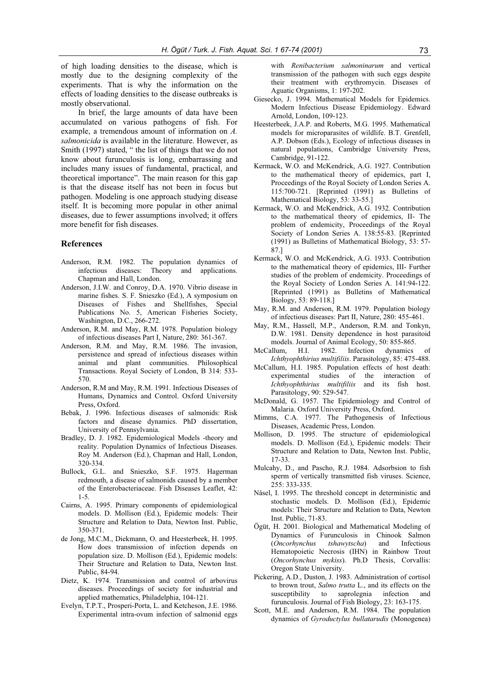of high loading densities to the disease, which is mostly due to the designing complexity of the experiments. That is why the information on the effects of loading densities to the disease outbreaks is mostly observational.

In brief, the large amounts of data have been accumulated on various pathogens of fish. For example, a tremendous amount of information on *A. salmonicida* is available in the literature. However, as Smith (1997) stated, " the list of things that we do not know about furunculosis is long, embarrassing and includes many issues of fundamental, practical, and theoretical importance". The main reason for this gap is that the disease itself has not been in focus but pathogen. Modeling is one approach studying disease itself. It is becoming more popular in other animal diseases, due to fewer assumptions involved; it offers more benefit for fish diseases.

# **References**

- Anderson, R.M. 1982. The population dynamics of infectious diseases: Theory and applications. Chapman and Hall, London.
- Anderson, J.I.W. and Conroy, D.A. 1970. Vibrio disease in marine fishes. S. F. Snieszko (Ed.), A symposium on Diseases of Fishes and Shellfishes, Special Publications No. 5, American Fisheries Society, Washington, D.C., 266-272.
- Anderson, R.M. and May, R.M. 1978. Population biology of infectious diseases Part I, Nature, 280: 361-367.
- Anderson, R.M. and May, R.M. 1986. The invasion, persistence and spread of infectious diseases within animal and plant communities. Philosophical Transactions. Royal Society of London, B 314: 533- 570.
- Anderson, R.M and May, R.M. 1991. Infectious Diseases of Humans, Dynamics and Control. Oxford University Press, Oxford.
- Bebak, J. 1996. Infectious diseases of salmonids: Risk factors and disease dynamics. PhD dissertation, University of Pennsylvania.
- Bradley, D. J. 1982. Epidemiological Models -theory and reality. Population Dynamics of Infectious Diseases. Roy M. Anderson (Ed.), Chapman and Hall, London, 320-334.
- Bullock, G.L. and Snieszko, S.F. 1975. Hagerman redmouth, a disease of salmonids caused by a member of the Enterobacteriaceae. Fish Diseases Leaflet, 42: 1-5.
- Cairns, A. 1995. Primary components of epidemiological models. D. Mollison (Ed.), Epidemic models: Their Structure and Relation to Data, Newton Inst. Public, 350-371.
- de Jong, M.C.M., Diekmann, O. and Heesterbeek, H. 1995. How does transmission of infection depends on population size. D. Mollison (Ed.), Epidemic models: Their Structure and Relation to Data, Newton Inst. Public, 84-94.
- Dietz, K. 1974. Transmission and control of arbovirus diseases. Proceedings of society for industrial and applied mathematics, Philadelphia, 104-121.
- Evelyn, T.P.T., Prosperi-Porta, L. and Ketcheson, J.E. 1986. Experimental intra-ovum infection of salmonid eggs

with *Renibacterium salmoninarum* and vertical transmission of the pathogen with such eggs despite their treatment with erythromycin. Diseases of Aguatic Organisms, 1: 197-202.

- Giesecko, J. 1994. Mathematical Models for Epidemics. Modern Infectious Disease Epidemiology. Edward Arnold, London, 109-123.
- Heesterbeek, J.A.P. and Roberts, M.G. 1995. Mathematical models for microparasites of wildlife. B.T. Grenfell, A.P. Dobson (Eds.), Ecology of infectious diseases in natural populations, Cambridge University Press, Cambridge, 91-122.
- Kermack, W.O. and McKendrick, A.G. 1927. Contribution to the mathematical theory of epidemics, part I, Proceedings of the Royal Society of London Series A. 115:700-721. [Reprinted (1991) as Bulletins of Mathematical Biology, 53: 33-55.]
- Kermack, W.O. and McKendrick, A.G. 1932. Contribution to the mathematical theory of epidemics, II- The problem of endemicity, Proceedings of the Royal Society of London Series A. 138:55-83. [Reprinted (1991) as Bulletins of Mathematical Biology, 53: 57- 87.]
- Kermack, W.O. and McKendrick, A.G. 1933. Contribution to the mathematical theory of epidemics, III- Further studies of the problem of endemicity. Proceedings of the Royal Society of London Series A. 141:94-122. [Reprinted (1991) as Bulletins of Mathematical Biology, 53: 89-118.]
- May, R.M. and Anderson, R.M. 1979. Population biology of infectious diseases: Part II, Nature, 280: 455-461.
- May, R.M., Hassell, M.P., Anderson, R.M. and Tonkyn, D.W. 1981. Density dependence in host parasitoid models. Journal of Animal Ecology, 50: 855-865.<br>allum. H.I. 1982. Infection dynamics
- McCallum, H.I. 1982. Infection dynamics of *Ichthyophthirius multifiliis*. Parasitology, 85: 475-488.
- McCallum, H.I. 1985. Population effects of host death: experimental studies of the interaction of *Ichthyophthirius multifiliis* and its fish host. Parasitology, 90: 529-547.
- McDonald, G. 1957. The Epidemiology and Control of Malaria. Oxford University Press, Oxford.
- Mimms, C.A. 1977. The Pathogenesis of Infectious Diseases, Academic Press, London.
- Mollison, D. 1995. The structure of epidemiological models. D. Mollison (Ed.), Epidemic models: Their Structure and Relation to Data, Newton Inst. Public, 17-33.
- Mulcahy, D., and Pascho, R.J. 1984. Adsorbsion to fish sperm of vertically transmitted fish viruses. Science, 255: 333-335.
- Nåsel, I. 1995. The threshold concept in deterministic and stochastic models. D. Mollison (Ed.), Epidemic models: Their Structure and Relation to Data, Newton Inst. Public, 71-83.
- Ögüt, H. 2001. Biological and Mathematical Modeling of Dynamics of Furunculosis in Chinook Salmon (*Oncorhynchus tshawytscha*) and Infectious Hematopoietic Necrosis (IHN) in Rainbow Trout (*Oncorhynchus mykiss*). Ph.D Thesis, Corvallis: Oregon State University.
- Pickering, A.D., Duston, J. 1983. Administration of cortisol to brown trout, *Salmo trutta* L., and its effects on the susceptibility to saprolegnia infection and furunculosis. Journal of Fish Biology, 23: 163-175.
- Scott, M.E. and Anderson, R.M. 1984. The population dynamics of *Gyroductylus bullatarudis* (Monogenea)